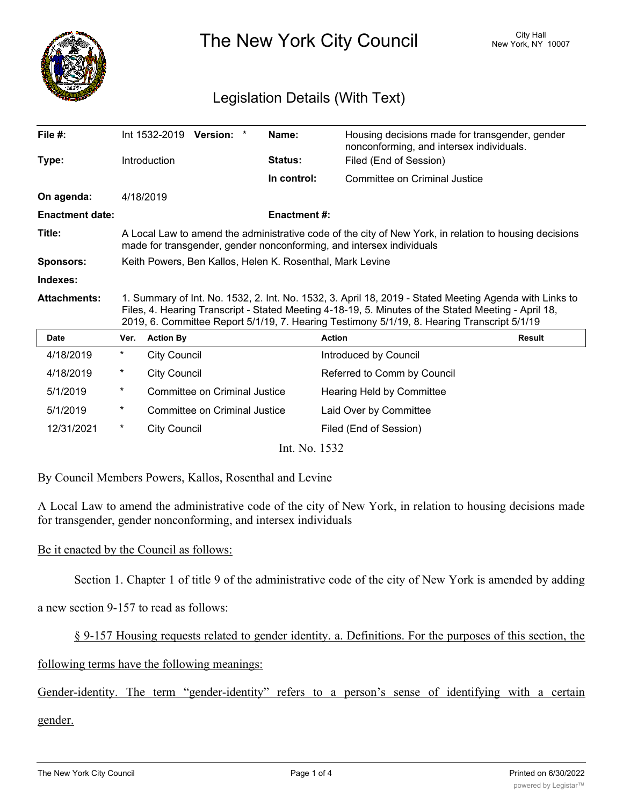

The New York City Council New York, NY 10007

## Legislation Details (With Text)

| File $#$ :             |                                                                                                                                                                                                                                                                                                              | Int 1532-2019<br>Version: *   | Name:                   | Housing decisions made for transgender, gender<br>nonconforming, and intersex individuals. |               |
|------------------------|--------------------------------------------------------------------------------------------------------------------------------------------------------------------------------------------------------------------------------------------------------------------------------------------------------------|-------------------------------|-------------------------|--------------------------------------------------------------------------------------------|---------------|
| Type:                  |                                                                                                                                                                                                                                                                                                              | Introduction                  | Status:                 | Filed (End of Session)                                                                     |               |
|                        |                                                                                                                                                                                                                                                                                                              |                               | In control:             | Committee on Criminal Justice                                                              |               |
| On agenda:             |                                                                                                                                                                                                                                                                                                              | 4/18/2019                     |                         |                                                                                            |               |
| <b>Enactment date:</b> |                                                                                                                                                                                                                                                                                                              |                               | <b>Enactment #:</b>     |                                                                                            |               |
| Title:                 | A Local Law to amend the administrative code of the city of New York, in relation to housing decisions<br>made for transgender, gender nonconforming, and intersex individuals                                                                                                                               |                               |                         |                                                                                            |               |
| <b>Sponsors:</b>       | Keith Powers, Ben Kallos, Helen K. Rosenthal, Mark Levine                                                                                                                                                                                                                                                    |                               |                         |                                                                                            |               |
| Indexes:               |                                                                                                                                                                                                                                                                                                              |                               |                         |                                                                                            |               |
| <b>Attachments:</b>    | 1. Summary of Int. No. 1532, 2. Int. No. 1532, 3. April 18, 2019 - Stated Meeting Agenda with Links to<br>Files, 4. Hearing Transcript - Stated Meeting 4-18-19, 5. Minutes of the Stated Meeting - April 18,<br>2019, 6. Committee Report 5/1/19, 7. Hearing Testimony 5/1/19, 8. Hearing Transcript 5/1/19 |                               |                         |                                                                                            |               |
| <b>Date</b>            | Ver.                                                                                                                                                                                                                                                                                                         | <b>Action By</b>              |                         | <b>Action</b>                                                                              | <b>Result</b> |
| 4/18/2019              | $^\star$                                                                                                                                                                                                                                                                                                     | <b>City Council</b>           |                         | Introduced by Council                                                                      |               |
| 4/18/2019              | $^\star$                                                                                                                                                                                                                                                                                                     | <b>City Council</b>           |                         | Referred to Comm by Council                                                                |               |
| 5/1/2019               | $^\star$                                                                                                                                                                                                                                                                                                     | Committee on Criminal Justice |                         | Hearing Held by Committee                                                                  |               |
| 5/1/2019               | *                                                                                                                                                                                                                                                                                                            | Committee on Criminal Justice |                         | Laid Over by Committee                                                                     |               |
| 12/31/2021             | $^\star$                                                                                                                                                                                                                                                                                                     | <b>City Council</b>           |                         | Filed (End of Session)                                                                     |               |
|                        |                                                                                                                                                                                                                                                                                                              |                               | $Int$ $N_{\alpha}$ 1522 |                                                                                            |               |

Int. No. 1532

By Council Members Powers, Kallos, Rosenthal and Levine

A Local Law to amend the administrative code of the city of New York, in relation to housing decisions made for transgender, gender nonconforming, and intersex individuals

## Be it enacted by the Council as follows:

Section 1. Chapter 1 of title 9 of the administrative code of the city of New York is amended by adding

a new section 9-157 to read as follows:

§ 9-157 Housing requests related to gender identity. a. Definitions. For the purposes of this section, the

following terms have the following meanings:

Gender-identity. The term "gender-identity" refers to a person's sense of identifying with a certain

gender.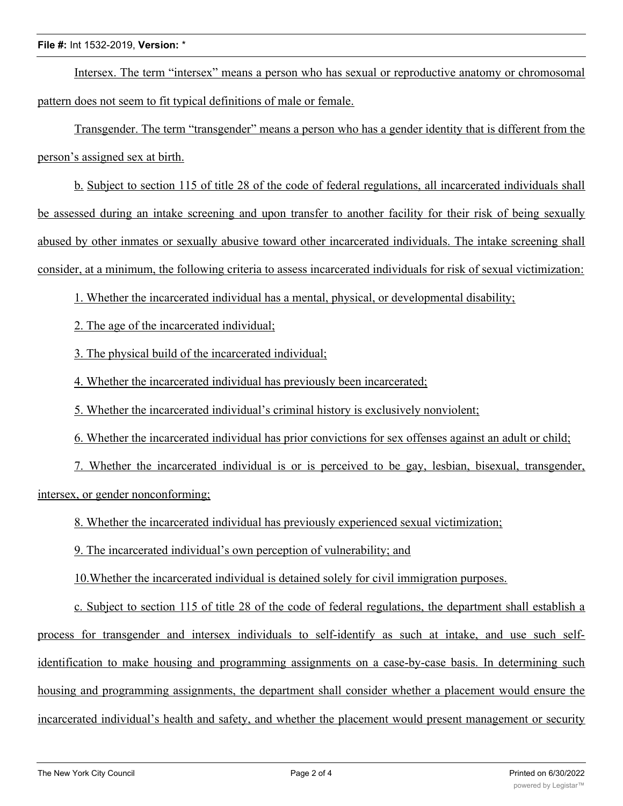Intersex. The term "intersex" means a person who has sexual or reproductive anatomy or chromosomal pattern does not seem to fit typical definitions of male or female.

Transgender. The term "transgender" means a person who has a gender identity that is different from the person's assigned sex at birth.

b. Subject to section 115 of title 28 of the code of federal regulations, all incarcerated individuals shall be assessed during an intake screening and upon transfer to another facility for their risk of being sexually abused by other inmates or sexually abusive toward other incarcerated individuals. The intake screening shall consider, at a minimum, the following criteria to assess incarcerated individuals for risk of sexual victimization:

1. Whether the incarcerated individual has a mental, physical, or developmental disability;

2. The age of the incarcerated individual;

3. The physical build of the incarcerated individual;

4. Whether the incarcerated individual has previously been incarcerated;

5. Whether the incarcerated individual's criminal history is exclusively nonviolent;

6. Whether the incarcerated individual has prior convictions for sex offenses against an adult or child;

7. Whether the incarcerated individual is or is perceived to be gay, lesbian, bisexual, transgender, intersex, or gender nonconforming;

8. Whether the incarcerated individual has previously experienced sexual victimization;

9. The incarcerated individual's own perception of vulnerability; and

10.Whether the incarcerated individual is detained solely for civil immigration purposes.

c. Subject to section 115 of title 28 of the code of federal regulations, the department shall establish a process for transgender and intersex individuals to self-identify as such at intake, and use such selfidentification to make housing and programming assignments on a case-by-case basis. In determining such housing and programming assignments, the department shall consider whether a placement would ensure the incarcerated individual's health and safety, and whether the placement would present management or security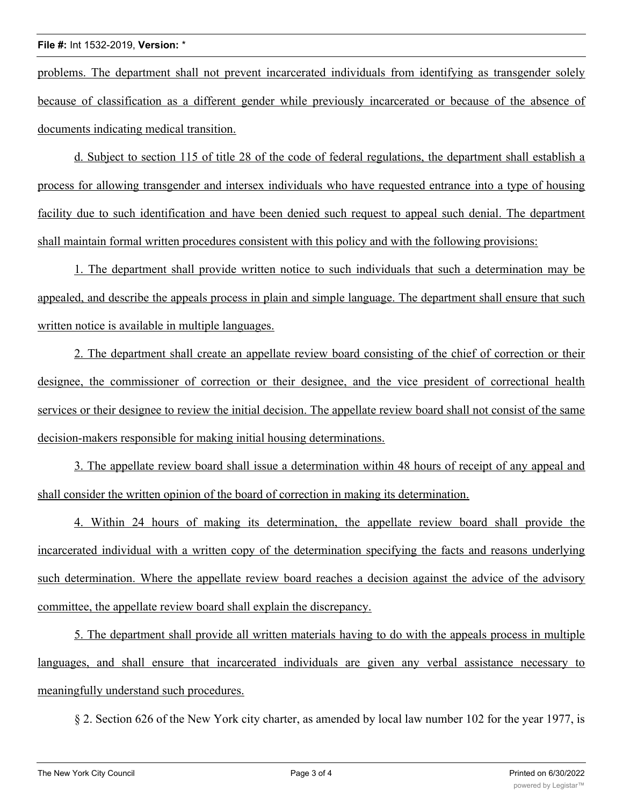problems. The department shall not prevent incarcerated individuals from identifying as transgender solely because of classification as a different gender while previously incarcerated or because of the absence of documents indicating medical transition.

d. Subject to section 115 of title 28 of the code of federal regulations, the department shall establish a process for allowing transgender and intersex individuals who have requested entrance into a type of housing facility due to such identification and have been denied such request to appeal such denial. The department shall maintain formal written procedures consistent with this policy and with the following provisions:

1. The department shall provide written notice to such individuals that such a determination may be appealed, and describe the appeals process in plain and simple language. The department shall ensure that such written notice is available in multiple languages.

2. The department shall create an appellate review board consisting of the chief of correction or their designee, the commissioner of correction or their designee, and the vice president of correctional health services or their designee to review the initial decision. The appellate review board shall not consist of the same decision-makers responsible for making initial housing determinations.

3. The appellate review board shall issue a determination within 48 hours of receipt of any appeal and shall consider the written opinion of the board of correction in making its determination.

4. Within 24 hours of making its determination, the appellate review board shall provide the incarcerated individual with a written copy of the determination specifying the facts and reasons underlying such determination. Where the appellate review board reaches a decision against the advice of the advisory committee, the appellate review board shall explain the discrepancy.

5. The department shall provide all written materials having to do with the appeals process in multiple languages, and shall ensure that incarcerated individuals are given any verbal assistance necessary to meaningfully understand such procedures.

§ 2. Section 626 of the New York city charter, as amended by local law number 102 for the year 1977, is